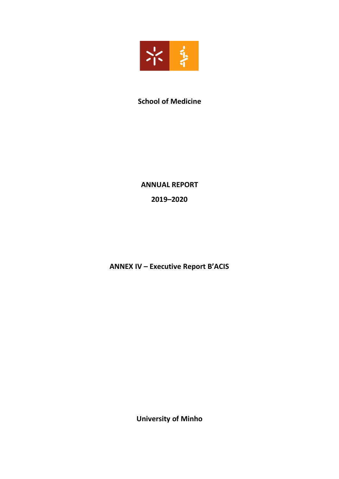

# **School of Medicine**

# **ANNUAL REPORT**

**2019ʹ2020**

**ANNEX IV - Executive Report B'ACIS** 

**University of Minho**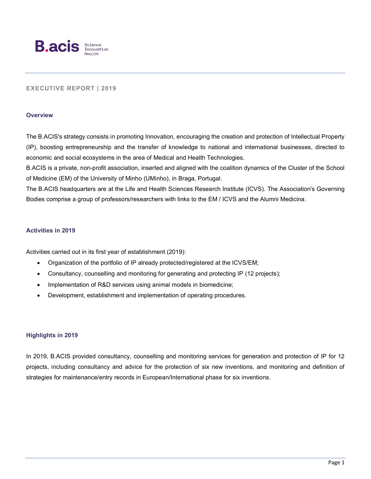

## **EXECUTIVE REPORT | 2019**

#### **Overview**

The B.ACIS's strategy consists in promoting Innovation, encouraging the creation and protection of Intellectual Property (IP), boosting entrepreneurship and the transfer of knowledge to national and international businesses, directed to economic and social ecosystems in the area of Medical and Health Technologies.

B.ACIS is a private, non-profit association, inserted and aligned with the coalition dynamics of the Cluster of the School of Medicine (EM) of the University of Minho (UMinho), in Braga, Portugal.

The B.ACIS headquarters are at the Life and Health Sciences Research Institute (ICVS). The Association's Governing Bodies comprise a group of professors/researchers with links to the EM / ICVS and the Alumni Medicina.

### **Activities in 2019**

Activities carried out in its first year of establishment (2019):

- Organization of the portfolio of IP already protected/registered at the ICVS/EM;
- Consultancy, counselling and monitoring for generating and protecting IP (12 projects);
- Implementation of R&D services using animal models in biomedicine;
- Development, establishment and implementation of operating procedures.

#### **Highlights in 2019**

In 2019, B.ACIS provided consultancy, counselling and monitoring services for generation and protection of IP for 12 projects, including consultancy and advice for the protection of six new inventions, and monitoring and definition of strategies for maintenance/entry records in European/International phase for six inventions.